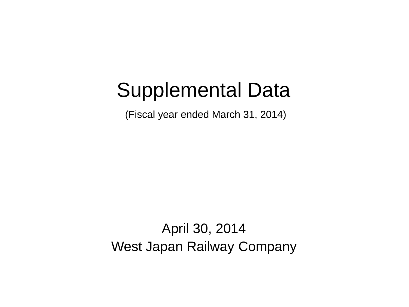# Supplemental Data

(Fiscal year ended March 31, 2014)

April 30, 2014 West Japan Railway Company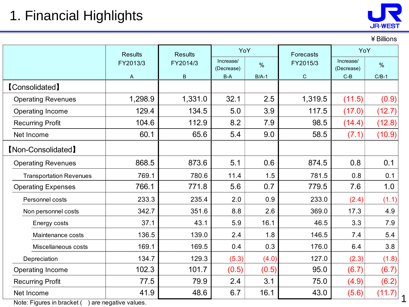

¥Billions

1

 $\frac{1}{2}$  [40]  $\frac{1}{2}$  [40]  $\frac{1}{2}$  [40]  $\frac{1}{2}$  [40]  $\frac{1}{2}$  [40]  $\frac{1}{2}$  [40]  $\frac{1}{2}$  [40]  $\frac{1}{2}$ 

#### Increase/ (Decrease) % Increase/ (Decrease) % A B B-A B/A-1 C C-B C/B-1 1,298.9 1,331.0 32.1 2.5 1,319.5 (11.5) (0.9) 129.4 134.5 5.0 3.9 117.5 (17.0) (12.7) 104.6 112.9 8.2 7.9 98.5 (14.4) (12.8)  $60.1$  65.6 5.4 9.0 58.5 (7.1) (10.9) 868.5 873.6 5.1 0.6 874.5 0.8 0.1 769.1 780.6 11.4 1.5 781.5 0.8 0.1 766.1 771.8 5.6 0.7 779.5 7.6 1.0 233.3 235.4 2.0 0.9 233.0 (2.4) (1.1) 342.7 351.6 8.8 2.6 369.0 17.3 4.9 Energy costs | 37.1 | 43.1 | 5.9 | 16.1 | 46.5 | 3.3 | 7.9 Maintenance costs | 136.5 | 139.0 | 2.4 | 1.8 | 146.5 | 7.4 | 5.4 Miscellaneous costs | 169.1 | 169.5 | 0.4 | 0.3 | 176.0 | 6.4 | 3.8 134.7 129.3 (5.3) (4.0) 127.0 (2.3) (1.8) 102.3 101.7 (0.5) (0.5) 95.0 (6.7) (6.7) 77.5 79.9 2.4 3.1 75.0 (4.9) (6.2) 41.9 48.6 6.7 16.1 43.0 (5.6) (11.7) Operating Revenues Operating Income Net Income Net Income Recurring Profit 【Non-Consolidated】 Operating Income Operating Expenses Operating Revenues Non personnel costs Recurring Profit Depreciation Personnel costs Transportation Revenues **Results** FY2014/3 YoY Forecasts FY2015/3 Results Results MoY FY2013/3 【Consolidated】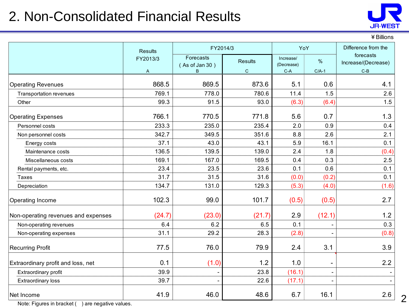#### 2. Non-Consolidated Financial Results



#### ¥Billions

|                                     | <b>Results</b> | FY2014/3                         | YoY                         |                                  | Difference from the      |                                           |
|-------------------------------------|----------------|----------------------------------|-----------------------------|----------------------------------|--------------------------|-------------------------------------------|
|                                     | FY2013/3<br>A  | Forecasts<br>(As of Jan 30)<br>B | <b>Results</b><br>${\bf C}$ | Increase/<br>(Decrease)<br>$C-A$ | $\%$<br>$C/A-1$          | forecasts<br>Increase/(Decrease)<br>$C-B$ |
| <b>Operating Revenues</b>           | 868.5          | 869.5                            | 873.6                       | 5.1                              | 0.6                      | 4.1                                       |
| Transportation revenues             | 769.1          | 778.0                            | 780.6                       | 11.4                             | 1.5                      | 2.6                                       |
| Other                               | 99.3           | 91.5                             | 93.0                        | (6.3)                            | (6.4)                    | 1.5                                       |
| <b>Operating Expenses</b>           | 766.1          | 770.5                            | 771.8                       | 5.6                              | 0.7                      | 1.3                                       |
| Personnel costs                     | 233.3          | 235.0                            | 235.4                       | 2.0                              | 0.9                      | 0.4                                       |
| Non personnel costs                 | 342.7          | 349.5                            | 351.6                       | 8.8                              | 2.6                      | 2.1                                       |
| Energy costs                        | 37.1           | 43.0                             | 43.1                        | 5.9                              | 16.1                     | 0.1                                       |
| Maintenance costs                   | 136.5          | 139.5                            | 139.0                       | 2.4                              | 1.8                      | (0.4)                                     |
| Miscellaneous costs                 | 169.1          | 167.0                            | 169.5                       | 0.4                              | 0.3                      | 2.5                                       |
| Rental payments, etc.               | 23.4           | 23.5                             | 23.6                        | 0.1                              | 0.6                      | 0.1                                       |
| <b>Taxes</b>                        | 31.7           | 31.5                             | 31.6                        | (0.0)                            | (0.2)                    | 0.1                                       |
| Depreciation                        | 134.7          | 131.0                            | 129.3                       | (5.3)                            | (4.0)                    | (1.6)                                     |
| Operating Income                    | 102.3          | 99.0                             | 101.7                       | (0.5)                            | (0.5)                    | 2.7                                       |
| Non-operating revenues and expenses | (24.7)         | (23.0)                           | (21.7)                      | 2.9                              | (12.1)                   | 1.2                                       |
| Non-operating revenues              | 6.4            | 6.2                              | 6.5                         | 0.1                              |                          | 0.3                                       |
| Non-operating expenses              | 31.1           | 29.2                             | 28.3                        | (2.8)                            |                          | (0.8)                                     |
| <b>Recurring Profit</b>             | 77.5           | 76.0                             | 79.9                        | 2.4                              | 3.1                      | 3.9                                       |
| Extraordinary profit and loss, net  | 0.1            | (1.0)                            | 1.2                         | 1.0                              | $\overline{\phantom{a}}$ | 2.2                                       |
| Extraordinary profit                | 39.9           |                                  | 23.8                        | (16.1)                           | $\blacksquare$           |                                           |
| <b>Extraordinary loss</b>           | 39.7           |                                  | 22.6                        | (17.1)                           | $\blacksquare$           |                                           |
| Net Income                          | 41.9           | 46.0                             | 48.6                        | 6.7                              | 16.1                     | 2.6                                       |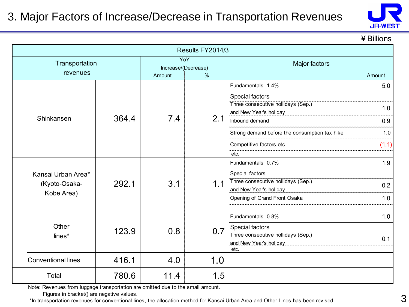

¥Billions

|                           |       |                                    | Results FY2014/3 |                                               |        |  |
|---------------------------|-------|------------------------------------|------------------|-----------------------------------------------|--------|--|
| Transportation            |       |                                    | YoY              | Major factors                                 |        |  |
| revenues                  |       | Increase/(Decrease)<br>%<br>Amount |                  |                                               | Amount |  |
|                           |       |                                    |                  | Fundamentals 1.4%                             | 5.0    |  |
|                           |       |                                    |                  | Special factors                               |        |  |
|                           |       |                                    |                  | Three consecutive hollidays (Sep.)            |        |  |
|                           |       |                                    |                  |                                               | 1.0    |  |
| Shinkansen                | 364.4 | 7.4                                | 2.1              | Inbound demand                                | 0.9    |  |
|                           |       |                                    |                  | Strong demand before the consumption tax hike | 1.0    |  |
|                           |       |                                    |                  | Competitive factors, etc.                     | (1.1)  |  |
|                           |       |                                    |                  | etc.                                          |        |  |
|                           |       |                                    |                  | Fundamentals 0.7%                             | 1.9    |  |
| Kansai Urban Area*        |       | 3.1                                | 1.1              | Special factors                               |        |  |
| (Kyoto-Osaka-             | 292.1 |                                    |                  | Three consecutive hollidays (Sep.)            | 0.2    |  |
| Kobe Area)                |       |                                    |                  | and New Year's holiday                        |        |  |
|                           |       |                                    |                  | Opening of Grand Front Osaka                  | 1.0    |  |
|                           |       |                                    |                  |                                               |        |  |
|                           |       |                                    |                  | Fundamentals 0.8%                             | 1.0    |  |
| Other                     | 123.9 | 0.8                                | 0.7              | Special factors                               |        |  |
| lines*                    |       |                                    |                  | Three consecutive hollidays (Sep.)            | 0.1    |  |
|                           |       |                                    |                  | and New Year's holiday<br>etc.                |        |  |
| <b>Conventional lines</b> | 416.1 | 4.0                                | 1.0              |                                               |        |  |
| Total                     | 780.6 | 11.4                               | 1.5              |                                               |        |  |

Note: Revenues from luggage transportation are omitted due to the small amount.

Figures in bracket() are negative values.

\*In transportation revenues for conventional lines, the allocation method for Kansai Urban Area and Other Lines has been revised.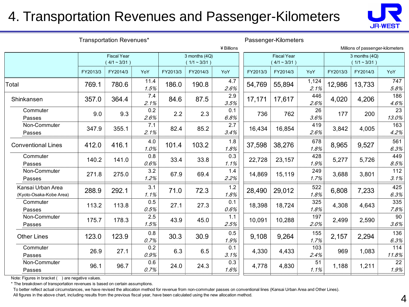#### 4. Transportation Revenues and Passenger-Kilometers



| Transportation Revenues*                     |          |                                      |              |          |                                 | Passenger-Kilometers |          |                                      |               |                                  |                                 |              |
|----------------------------------------------|----------|--------------------------------------|--------------|----------|---------------------------------|----------------------|----------|--------------------------------------|---------------|----------------------------------|---------------------------------|--------------|
|                                              |          |                                      |              |          | ¥ Billions                      |                      |          |                                      |               | Millions of passenger-kilometers |                                 |              |
|                                              |          | <b>Fiscal Year</b><br>$(4/1 - 3/31)$ |              |          | 3 months (4Q)<br>$(1/1 - 3/31)$ |                      |          | <b>Fiscal Year</b><br>$(4/1 - 3/31)$ |               |                                  | 3 months (4Q)<br>$(1/1 - 3/31)$ |              |
|                                              | FY2013/3 | FY2014/3                             | YoY          | FY2013/3 | FY2014/3                        | YoY                  | FY2013/3 | FY2014/3                             | YoY           | FY2013/3                         | FY2014/3                        | YoY          |
| Total                                        | 769.1    | 780.6                                | 11.4<br>1.5% | 186.0    | 190.8                           | 4.7<br>2.6%          | 54,769   | 55,894                               | 1,124<br>2.1% | 12,986                           | 13,733                          | 747<br>5.8%  |
| Shinkansen                                   | 357.0    | 364.4                                | 7.4<br>2.1%  | 84.6     | 87.5                            | 2.9<br>3.5%          | 17,171   | 17,617                               | 446<br>2.6%   | 4,020                            | 4,206                           | 186<br>4.6%  |
| Commuter<br>Passes                           | 9.0      | 9.3                                  | 0.2<br>2.6%  | 2.2      | 2.3                             | 0.1<br>6.8%          | 736      | 762                                  | 26<br>3.6%    | 177                              | 200                             | 23<br>13.0%  |
| Non-Commuter<br>Passes                       | 347.9    | 355.1                                | 7.1<br>2.1%  | 82.4     | 85.2                            | 2.7<br>3.4%          | 16,434   | 16,854                               | 419<br>2.6%   | 3,842                            | 4,005                           | 163<br>4.2%  |
| <b>Conventional Lines</b>                    | 412.0    | 416.1                                | 4.0<br>1.0%  | 101.4    | 103.2                           | 1.8<br>1.8%          | 37,598   | 38,276                               | 678<br>1.8%   | 8,965                            | 9,527                           | 561<br>6.3%  |
| Commuter<br>Passes                           | 140.2    | 141.0                                | 0.8<br>0.6%  | 33.4     | 33.8                            | 0.3<br>1.1%          | 22,728   | 23,157                               | 428<br>1.9%   | 5,277                            | 5,726                           | 449<br>8.5%  |
| Non-Commuter<br>Passes                       | 271.8    | 275.0                                | 3.2<br>1.2%  | 67.9     | 69.4                            | 1.4<br>2.2%          | 14,869   | 15,119                               | 249<br>1.7%   | 3,688                            | 3,801                           | 112<br>3.1%  |
| Kansai Urban Area<br>(Kyoto-Osaka-Kobe Area) | 288.9    | 292.1                                | 3.1<br>1.1%  | 71.0     | 72.3                            | 1.2<br>1.8%          | 28,490   | 29,012                               | 522<br>1.8%   | 6,808                            | 7,233                           | 425<br>6.3%  |
| Commuter<br>Passes                           | 113.2    | 113.8                                | 0.5<br>0.5%  | 27.1     | 27.3                            | 0.1<br>0.6%          | 18,398   | 18,724                               | 325<br>1.8%   | 4,308                            | 4,643                           | 335<br>7.8%  |
| Non-Commuter<br>Passes                       | 175.7    | 178.3                                | 2.5<br>1.5%  | 43.9     | 45.0                            | 1.1<br>2.5%          | 10,091   | 10,288                               | 197<br>2.0%   | 2,499                            | 2,590                           | 90<br>3.6%   |
| <b>Other Lines</b>                           | 123.0    | 123.9                                | 0.8<br>0.7%  | 30.3     | 30.9                            | 0.5<br>1.9%          | 9,108    | 9,264                                | 155<br>1.7%   | 2,157                            | 2,294                           | 136<br>6.3%  |
| Commuter<br>Passes                           | 26.9     | 27.1                                 | 0.2<br>0.9%  | 6.3      | 6.5                             | 0.1<br>3.1%          | 4,330    | 4,433                                | 103<br>2.4%   | 969                              | 1,083                           | 114<br>11.8% |
| Non-Commuter<br>Passes                       | 96.1     | 96.7                                 | 0.6<br>0.7%  | 24.0     | 24.3                            | 0.3<br>1.6%          | 4,778    | 4,830                                | 51<br>1.1%    | 1,188                            | 1,211                           | 22<br>1.9%   |

Note: Figures in bracket ( ) are negative values.

\* The breakdown of transportation revenues is based on certain assumptions.

To better reflect actual circumstances, we have revised the allocation method for revenue from non-commuter passes on conventional lines (Kansai Urban Area and Other Lines).

All figures in the above chart, including results from the previous fiscal year, have been calculated using the new allocation method.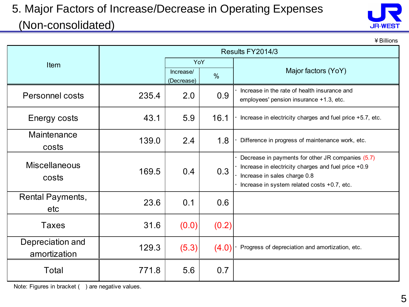#### 5. Major Factors of Increase/Decrease in Operating Expenses (Non-consolidated)



¥Billions

|                                  |       |                         |               | Results FY2014/3                                                                                                                                                                        |  |  |
|----------------------------------|-------|-------------------------|---------------|-----------------------------------------------------------------------------------------------------------------------------------------------------------------------------------------|--|--|
| Item                             |       | YoY                     |               |                                                                                                                                                                                         |  |  |
|                                  |       | Increase/<br>(Decrease) | $\frac{0}{0}$ | Major factors (YoY)                                                                                                                                                                     |  |  |
| <b>Personnel costs</b>           | 235.4 | 2.0                     | 0.9           | Increase in the rate of health insurance and<br>employees' pension insurance +1.3, etc.                                                                                                 |  |  |
| Energy costs                     | 43.1  | 5.9                     | 16.1          | Increase in electricity charges and fuel price +5.7, etc.                                                                                                                               |  |  |
| Maintenance<br>costs             | 139.0 | 2.4                     | 1.8           | Difference in progress of maintenance work, etc.                                                                                                                                        |  |  |
| <b>Miscellaneous</b><br>costs    | 169.5 | 0.4                     | 0.3           | Decrease in payments for other JR companies (5.7)<br>Increase in electricity charges and fuel price +0.9<br>Increase in sales charge 0.8<br>Increase in system related costs +0.7, etc. |  |  |
| <b>Rental Payments,</b><br>etc   | 23.6  | 0.1                     | 0.6           |                                                                                                                                                                                         |  |  |
| <b>Taxes</b>                     | 31.6  | (0.0)                   | (0.2)         |                                                                                                                                                                                         |  |  |
| Depreciation and<br>amortization | 129.3 | (5.3)                   | (4.0)         | Progress of depreciation and amortization, etc.                                                                                                                                         |  |  |
| Total                            | 771.8 | 5.6                     | 0.7           |                                                                                                                                                                                         |  |  |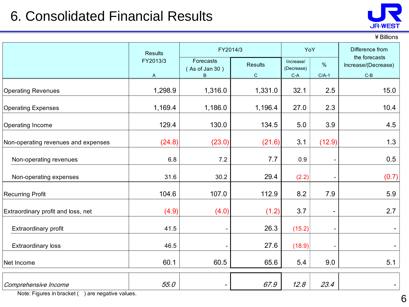#### 6. Consolidated Financial Results



¥Billions

|                                     | <b>Results</b> | FY2014/3                         | YoY                            |                                  | Difference from              |                                               |
|-------------------------------------|----------------|----------------------------------|--------------------------------|----------------------------------|------------------------------|-----------------------------------------------|
|                                     | FY2013/3<br>A  | Forecasts<br>(As of Jan 30)<br>B | <b>Results</b><br>$\mathsf{C}$ | Increase/<br>(Decrease)<br>$C-A$ | $\frac{0}{0}$<br>$C/A-1$     | the forecasts<br>Increase/(Decrease)<br>$C-B$ |
| <b>Operating Revenues</b>           | 1,298.9        | 1,316.0                          | 1,331.0                        | 32.1                             | 2.5                          | 15.0                                          |
| <b>Operating Expenses</b>           | 1,169.4        | 1,186.0                          | 1,196.4                        | 27.0                             | 2.3                          | 10.4                                          |
| Operating Income                    | 129.4          | 130.0                            | 134.5                          | 5.0                              | 3.9                          | 4.5                                           |
| Non-operating revenues and expenses | (24.8)         | (23.0)                           | (21.6)                         | 3.1                              | (12.9)                       | 1.3                                           |
| Non-operating revenues              | 6.8            | 7.2                              | 7.7                            | 0.9                              |                              | 0.5                                           |
| Non-operating expenses              | 31.6           | 30.2                             | 29.4                           | (2.2)                            |                              | (0.7)                                         |
| <b>Recurring Profit</b>             | 104.6          | 107.0                            | 112.9                          | 8.2                              | 7.9                          | 5.9                                           |
| Extraordinary profit and loss, net  | (4.9)          | (4.0)                            | (1.2)                          | 3.7                              | $\qquad \qquad \blacksquare$ | 2.7                                           |
| Extraordinary profit                | 41.5           |                                  | 26.3                           | (15.2)                           | $\overline{\phantom{a}}$     |                                               |
| <b>Extraordinary loss</b>           | 46.5           |                                  | 27.6                           | (18.9)                           | $\overline{\phantom{a}}$     |                                               |
| Net Income                          | 60.1           | 60.5                             | 65.6                           | 5.4                              | 9.0                          | 5.1                                           |
| Comprehensive Income                | 55.0           |                                  | 67.9                           | 12.8                             | 23.4                         |                                               |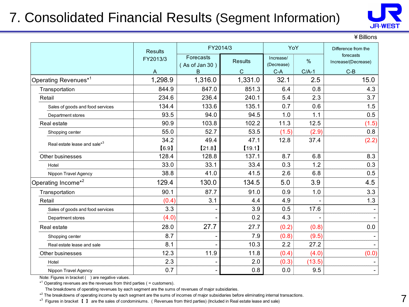### 7. Consolidated Financial Results (Segment Information)



¥Billions

|                                          | <b>Results</b>           | FY2014/3                         |                                | YoY                              |                 | Difference from the                       |  |
|------------------------------------------|--------------------------|----------------------------------|--------------------------------|----------------------------------|-----------------|-------------------------------------------|--|
|                                          | FY2013/3<br>$\mathsf{A}$ | Forecasts<br>(As of Jan 30)<br>B | <b>Results</b><br>$\mathsf{C}$ | Increase/<br>(Decrease)<br>$C-A$ | $\%$<br>$C/A-1$ | forecasts<br>Increase/(Decrease)<br>$C-B$ |  |
| Operating Revenues <sup>*1</sup>         | 1,298.9                  | 1,316.0                          | 1,331.0                        | 32.1                             | 2.5             | 15.0                                      |  |
| Transportation                           | 844.9                    | 847.0                            | 851.3                          | 6.4                              | 0.8             | 4.3                                       |  |
| Retail                                   | 234.6                    | 236.4                            | 240.1                          | 5.4                              | 2.3             | 3.7                                       |  |
| Sales of goods and food services         | 134.4                    | 133.6                            | 135.1                          | 0.7                              | 0.6             | 1.5                                       |  |
| Department stores                        | 93.5                     | 94.0                             | 94.5                           | 1.0                              | 1.1             | 0.5                                       |  |
| Real estate                              | 90.9                     | 103.8                            | 102.2                          | 11.3                             | 12.5            | (1.5)                                     |  |
| Shopping center                          | 55.0                     | 52.7                             | 53.5                           | (1.5)                            | (2.9)           | 0.8                                       |  |
| Real estate lease and sale* <sup>3</sup> | 34.2                     | 49.4                             | 47.1                           | 12.8                             | 37.4            | (2.2)                                     |  |
|                                          | [6.9]                    | [21.8]                           | [19.1]                         |                                  |                 |                                           |  |
| Other businesses                         | 128.4                    | 128.8                            | 137.1                          | 8.7                              | 6.8             | 8.3                                       |  |
| Hotel                                    | 33.0                     | 33.1                             | 33.4                           | 0.3                              | 1.2             | 0.3                                       |  |
| Nippon Travel Agency                     | 38.8                     | 41.0                             | 41.5                           | 2.6                              | 6.8             | 0.5                                       |  |
| Operating Income <sup>*2</sup>           | 129.4                    | 130.0                            | 134.5                          | 5.0                              | 3.9             | 4.5                                       |  |
| Transportation                           | 90.1                     | 87.7                             | 91.0                           | 0.9                              | 1.0             | 3.3                                       |  |
| Retail                                   | (0.4)                    | 3.1                              | 4.4                            | 4.9                              |                 | 1.3                                       |  |
| Sales of goods and food services         | 3.3                      |                                  | 3.9                            | 0.5                              | 17.6            |                                           |  |
| Department stores                        | (4.0)                    |                                  | 0.2                            | 4.3                              |                 |                                           |  |
| Real estate                              | 28.0                     | 27.7                             | 27.7                           | (0.2)                            | (0.8)           | 0.0                                       |  |
| Shopping center                          | 8.7                      |                                  | 7.9                            | (0.8)                            | (9.5)           |                                           |  |
| Real estate lease and sale               | 8.1                      |                                  | 10.3                           | 2.2                              | 27.2            |                                           |  |
| Other businesses                         | 12.3                     | 11.9                             | 11.8                           | (0.4)                            | (4.0)           | (0.0)                                     |  |
| Hotel                                    | 2.3                      |                                  | 2.0                            | (0.3)                            | (13.5)          |                                           |  |
| Nippon Travel Agency                     | 0.7                      |                                  | 0.8                            | 0.0                              | 9.5             |                                           |  |

Note: Figures in bracket () are negative values.

 $*$ <sup>1</sup> Operating revenues are the revenues from third parties ( = customers).

The breakdowns of operating revenues by each segment are the sums of revenues of major subsidiaries.

\*<sup>2</sup> The breakdowns of operating income by each segment are the sums of incomes of major subsidiaries before eliminating internal transactions.

\*<sup>3</sup> Figures in bracket 【 】 are the sales of condominiums. (Revenues from third parties) (Included in Real estate lease and sale)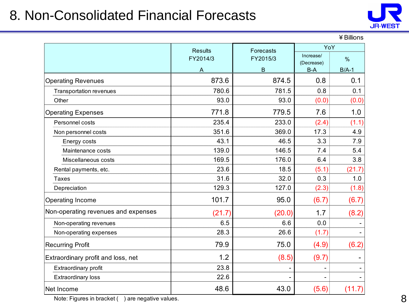#### 8. Non-Consolidated Financial Forecasts



|                                     | <b>Results</b><br>Forecasts |          | YoY                     |               |  |
|-------------------------------------|-----------------------------|----------|-------------------------|---------------|--|
|                                     | FY2014/3                    | FY2015/3 | Increase/<br>(Decrease) | $\frac{0}{0}$ |  |
|                                     | Α                           | B        | $B-A$                   | $B/A-1$       |  |
| <b>Operating Revenues</b>           | 873.6                       | 874.5    | 0.8                     | 0.1           |  |
| Transportation revenues             | 780.6                       | 781.5    | 0.8                     | 0.1           |  |
| Other                               | 93.0                        | 93.0     | (0.0)                   | (0.0)         |  |
| <b>Operating Expenses</b>           | 771.8                       | 779.5    | 7.6                     | 1.0           |  |
| Personnel costs                     | 235.4                       | 233.0    | (2.4)                   | (1.1)         |  |
| Non personnel costs                 | 351.6                       | 369.0    | 17.3                    | 4.9           |  |
| Energy costs                        | 43.1                        | 46.5     | 3.3                     | 7.9           |  |
| Maintenance costs                   | 139.0                       | 146.5    | 7.4                     | 5.4           |  |
| Miscellaneous costs                 | 169.5                       | 176.0    | 6.4                     | 3.8           |  |
| Rental payments, etc.               | 23.6                        | 18.5     | (5.1)                   | (21.7)        |  |
| <b>Taxes</b>                        | 31.6                        | 32.0     | 0.3                     | 1.0           |  |
| Depreciation                        | 129.3                       | 127.0    | (2.3)                   | (1.8)         |  |
| Operating Income                    | 101.7                       | 95.0     | (6.7)                   | (6.7)         |  |
| Non-operating revenues and expenses | (21.7)                      | (20.0)   | 1.7                     | (8.2)         |  |
| Non-operating revenues              | 6.5                         | 6.6      | 0.0                     |               |  |
| Non-operating expenses              | 28.3                        | 26.6     | (1.7)                   |               |  |
| <b>Recurring Profit</b>             | 79.9                        | 75.0     | (4.9)                   | (6.2)         |  |
| Extraordinary profit and loss, net  | 1.2                         | (8.5)    | (9.7)                   |               |  |
| Extraordinary profit                | 23.8                        |          |                         |               |  |
| <b>Extraordinary loss</b>           | 22.6                        |          |                         |               |  |
| Net Income                          | 48.6                        | 43.0     | (5.6)                   | (11.7)        |  |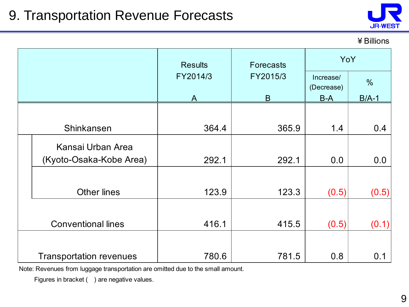

¥Billions

|                                | <b>Results</b> | <b>Forecasts</b> | YoY                     |               |  |
|--------------------------------|----------------|------------------|-------------------------|---------------|--|
|                                | FY2014/3       | FY2015/3         | Increase/<br>(Decrease) | $\frac{0}{0}$ |  |
|                                | A              | B                | $B-A$                   | $B/A-1$       |  |
|                                |                |                  |                         |               |  |
| Shinkansen                     | 364.4          | 365.9            | 1.4                     | 0.4           |  |
| Kansai Urban Area              |                |                  |                         |               |  |
| (Kyoto-Osaka-Kobe Area)        | 292.1          | 292.1            | 0.0                     | 0.0           |  |
|                                |                |                  |                         |               |  |
| <b>Other lines</b>             | 123.9          | 123.3            | (0.5)                   | (0.5)         |  |
|                                |                |                  |                         |               |  |
| <b>Conventional lines</b>      | 416.1          | 415.5            | (0.5)                   | (0.1)         |  |
|                                |                |                  |                         |               |  |
| <b>Transportation revenues</b> | 780.6          | 781.5            | 0.8                     | 0.1           |  |

Note: Revenues from luggage transportation are omitted due to the small amount.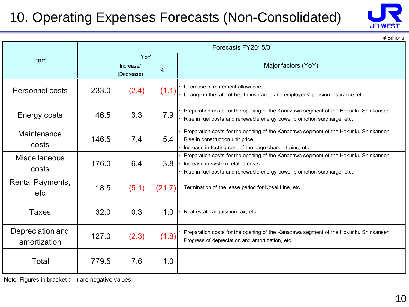## 10. Operating Expenses Forecasts (Non-Consolidated)



¥Billions

|                                  |       |                         |        | Forecasts FY2015/3                                                                                                                                                                                  |  |  |
|----------------------------------|-------|-------------------------|--------|-----------------------------------------------------------------------------------------------------------------------------------------------------------------------------------------------------|--|--|
| Item                             |       | YoY                     |        |                                                                                                                                                                                                     |  |  |
|                                  |       | Increase/<br>(Decrease) | $\%$   | Major factors (YoY)                                                                                                                                                                                 |  |  |
| Personnel costs                  | 233.0 | (2.4)                   | (1.1)  | Decrease in retirement allowance<br>Change in the rate of health insurance and employees' pension insurance, etc.                                                                                   |  |  |
| Energy costs                     | 46.5  | 3.3                     | 7.9    | Preparation costs for the opening of the Kanazawa segment of the Hokuriku Shinkansen<br>Rise in fuel costs and renewable energy power promotion surcharge, etc.                                     |  |  |
| Maintenance<br>costs             | 146.5 | 7.4                     | 5.4    | Preparation costs for the opening of the Kanazawa segment of the Hokuriku Shinkansen<br>Rise in construction unit price<br>Increase in testing cost of the gage change trains, etc.                 |  |  |
| <b>Miscellaneous</b><br>costs    | 176.0 | 6.4                     | 3.8    | Preparation costs for the opening of the Kanazawa segment of the Hokuriku Shinkansen<br>Increase in system related costs<br>Rise in fuel costs and renewable energy power promotion surcharge, etc. |  |  |
| <b>Rental Payments,</b><br>etc   | 18.5  | (5.1)                   | (21.7) | Termination of the lease period for Kosei Line, etc.                                                                                                                                                |  |  |
| <b>Taxes</b>                     | 32.0  | 0.3                     | 1.0    | Real estate acquisition tax, etc.                                                                                                                                                                   |  |  |
| Depreciation and<br>amortization | 127.0 | (2.3)                   | (1.8)  | Preparation costs for the opening of the Kanazawa segment of the Hokuriku Shinkansen<br>Progress of depreciation and amortization, etc.                                                             |  |  |
| Total                            | 779.5 | 7.6                     | 1.0    |                                                                                                                                                                                                     |  |  |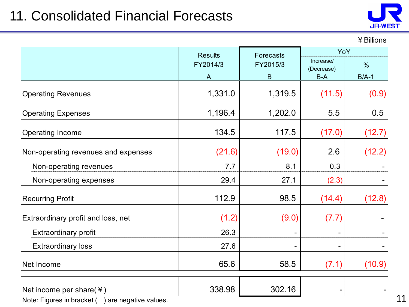### 11. Consolidated Financial Forecasts



11

| ¥ Billions |
|------------|
|------------|

|                                                    | <b>Results</b> | <b>Forecasts</b> | YoY               |               |  |
|----------------------------------------------------|----------------|------------------|-------------------|---------------|--|
|                                                    | FY2014/3       | FY2015/3         | Increase/         | $\frac{0}{0}$ |  |
|                                                    | A              | $\sf B$          | (Decrease)<br>B-A | $B/A-1$       |  |
| <b>Operating Revenues</b>                          | 1,331.0        | 1,319.5          | (11.5)            | (0.9)         |  |
| <b>Operating Expenses</b>                          | 1,196.4        | 1,202.0          | 5.5               | 0.5           |  |
| Operating Income                                   | 134.5          | 117.5            | (17.0)            | (12.7)        |  |
| Non-operating revenues and expenses                | (21.6)         | (19.0)           | 2.6               | (12.2)        |  |
| Non-operating revenues                             | 7.7            | 8.1              | 0.3               |               |  |
| Non-operating expenses                             | 29.4           | 27.1             | (2.3)             |               |  |
| <b>Recurring Profit</b>                            | 112.9          | 98.5             | (14.4)            | (12.8)        |  |
| Extraordinary profit and loss, net                 | (1.2)          | (9.0)            | (7.7)             |               |  |
| Extraordinary profit                               | 26.3           |                  |                   |               |  |
| <b>Extraordinary loss</b>                          | 27.6           |                  |                   |               |  |
| Net Income                                         | 65.6           | 58.5             | (7.1)             | (10.9)        |  |
| Net income per share( $\angle$ )                   | 338.98         | 302.16           |                   |               |  |
| Note: Figures in bracket (<br>are negative values. |                |                  |                   |               |  |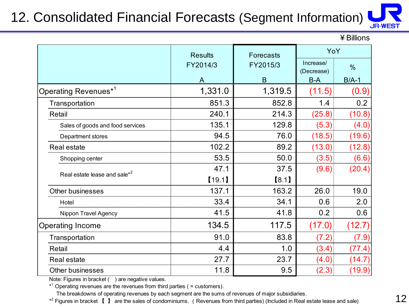### 12. Consolidated Financial Forecasts (Segment Information)



¥Billions

|                                          | <b>Results</b>       | Forecasts | YoY                     |               |
|------------------------------------------|----------------------|-----------|-------------------------|---------------|
|                                          | FY2014/3<br>FY2015/3 |           | Increase/<br>(Decrease) | $\frac{0}{0}$ |
|                                          | A                    | B         | $B-A$                   | $B/A-1$       |
| Operating Revenues <sup>*1</sup>         | 1,331.0              | 1,319.5   | (11.5)                  | (0.9)         |
| Transportation                           | 851.3                | 852.8     | 1.4                     | 0.2           |
| Retail                                   | 240.1                | 214.3     | (25.8)                  | (10.8)        |
| Sales of goods and food services         | 135.1                | 129.8     | (5.3)                   | (4.0)         |
| Department stores                        | 94.5                 | 76.0      | (18.5)                  | (19.6)        |
| <b>Real estate</b>                       | 102.2                | 89.2      | (13.0)                  | (12.8)        |
| Shopping center                          | 53.5                 | 50.0      | (3.5)                   | (6.6)         |
| Real estate lease and sale <sup>*2</sup> | 47.1                 | 37.5      | (9.6)                   | (20.4)        |
|                                          | [19.1]               | [8.1]     |                         |               |
| <b>Other businesses</b>                  | 137.1                | 163.2     | 26.0                    | 19.0          |
| Hotel                                    | 33.4                 | 34.1      | 0.6                     | 2.0           |
| Nippon Travel Agency                     | 41.5                 | 41.8      | 0.2                     | 0.6           |
| Operating Income                         | 134.5                | 117.5     | (17.0)                  | (12.7)        |
| Transportation                           | 91.0                 | 83.8      | (7.2)                   | (7.9)         |
| Retail                                   | 4.4                  | 1.0       | (3.4)                   | (77.4)        |
| <b>Real estate</b>                       | 27.7                 | 23.7      | (4.0)                   | (14.7)        |
| Other businesses                         | 11.8                 | 9.5       | (2.3)                   | (19.9)        |

Note: Figures in bracket () are negative values.

 $*$ <sup>1</sup> Operating revenues are the revenues from third parties ( = customers).

The breakdowns of operating revenues by each segment are the sums of revenues of major subsidiaries.

\*<sup>2</sup> Figures in bracket 【 】 are the sales of condominiums. (Revenues from third parties) (Included in Real estate lease and sale)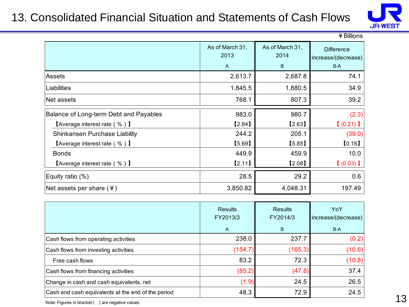#### 13. Consolidated Financial Situation and Statements of Cash Flows



|                                        |                         |                         | ¥ Billions                               |
|----------------------------------------|-------------------------|-------------------------|------------------------------------------|
|                                        | As of March 31,<br>2013 | As of March 31,<br>2014 | <b>Difference</b><br>increase/(decrease) |
|                                        | $\overline{A}$          | B                       | $B-A$                                    |
| <b>Assets</b>                          | 2,613.7                 | 2,687.8                 | 74.1                                     |
| Liabilities                            | 1,845.5                 | 1,880.5                 | 34.9                                     |
| Net assets                             | 768.1                   | 807.3                   | 39.2                                     |
| Balance of Long-term Debt and Payables | 983.0                   | 980.7                   | (2.3)                                    |
| <b>[Average interest rate (%)</b> ]    | [2.84]                  | [2.63]                  | $(0.21)$ ]                               |
| Shinkansen Purchase Liability          | 244.2                   | 205.1                   | (39.0)                                   |
| <b>[Average interest rate (%)</b> ]    | [5.69]                  | [5.85]                  | [0.16]                                   |
| <b>Bonds</b>                           | 449.9                   | 459.9                   | 10.0                                     |
| <b>[Average interest rate (%)]</b>     | [2.11]                  | [2.08]                  | $(0.03)$ ]                               |
| Equity ratio (%)                       | 28.5                    | 29.2                    | 0.6                                      |
| Net assets per share $(*)$             | 3,850.82                | 4,048.31                | 197.49                                   |

|                                                    | <b>Results</b><br>FY2013/3<br>$\mathsf{A}$ | <b>Results</b><br>FY2014/3<br>B | YoY<br>increase/(decrease)<br>$B-A$ |
|----------------------------------------------------|--------------------------------------------|---------------------------------|-------------------------------------|
| Cash flows from operating activities               | 238.0                                      | 237.7                           | (0.2)                               |
| Cash flows from investing activities               | (154.7)                                    | (165.3)                         | (10.6)                              |
| Free cash flows                                    | 83.2                                       | 72.3                            | (10.8)                              |
| Cash flows from financing activities               | (85.2)                                     | (47.8)                          | 37.4                                |
| Change in cash and cash equivalents, net           | (1.9)                                      | 24.5                            | 26.5                                |
| Cash and cash equivalents at the end of the period | 48.3                                       | 72.9                            | 24.5                                |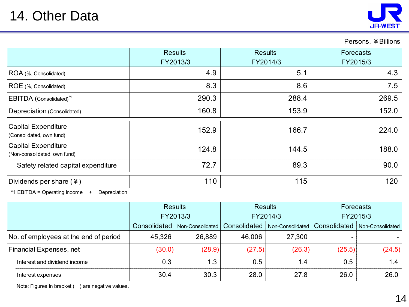

Persons, ¥Billions

|                                                     | <b>Results</b><br>FY2013/3 | <b>Results</b><br>FY2014/3 | Forecasts<br>FY2015/3 |
|-----------------------------------------------------|----------------------------|----------------------------|-----------------------|
| ROA (%, Consolidated)                               | 4.9                        | 5.1                        | 4.3                   |
| ROE (%, Consolidated)                               | 8.3                        | 8.6                        | 7.5                   |
| EBITDA (Consolidated) <sup>*1</sup>                 | 290.3                      | 288.4                      | 269.5                 |
| Depreciation (Consolidated)                         | 160.8                      | 153.9                      | 152.0                 |
| Capital Expenditure<br>(Consolidated, own fund)     | 152.9                      | 166.7                      | 224.0                 |
| Capital Expenditure<br>(Non-consolidated, own fund) | 124.8                      | 144.5                      | 188.0                 |
| Safety related capital expenditure                  | 72.7                       | 89.3                       | 90.0                  |
| Dividends per share $(*)$                           | 110                        | 115                        | 120                   |

\*1 EBITDA = Operating Income + Depreciation

|                                       | <b>Results</b><br>FY2013/3 |                  | <b>Results</b><br>FY2014/3 |                  | Forecasts    |                  |
|---------------------------------------|----------------------------|------------------|----------------------------|------------------|--------------|------------------|
|                                       |                            |                  |                            |                  | FY2015/3     |                  |
|                                       | Consolidated               | Non-Consolidated | Consolidated               | Non-Consolidated | Consolidated | Non-Consolidated |
| No. of employees at the end of period | 45,326                     | 26,889           | 46,006                     | 27,300           |              |                  |
| Financial Expenses, net               | (30.0)                     | (28.9)           | (27.5)                     | (26.3)           | (25.5)       | (24.5)           |
| Interest and dividend income          | 0.3                        | 1.3              | 0.5                        | 1.4              | 0.5          | 1.4              |
| Interest expenses                     | 30.4                       | 30.3             | 28.0                       | 27.8             | 26.0         | 26.0             |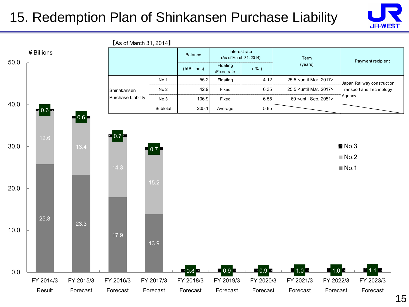#### 15. Redemption Plan of Shinkansen Purchase Liability